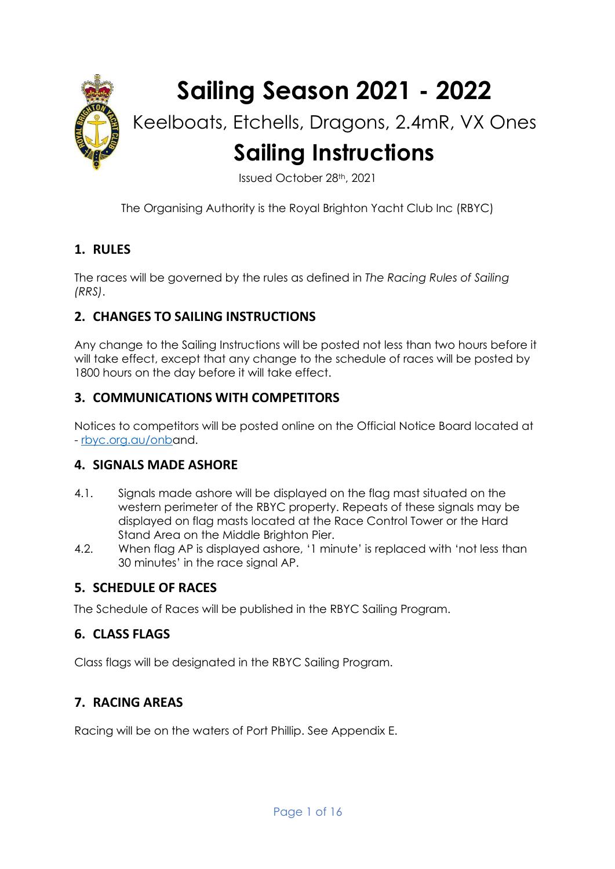

# **Sailing Season 2021 - 2022**

## Keelboats, Etchells, Dragons, 2.4mR, VX Ones **Sailing Instructions**

Issued October 28th, 2021

The Organising Authority is the Royal Brighton Yacht Club Inc (RBYC)

#### **1. RULES**

The races will be governed by the rules as defined in *The Racing Rules of Sailing (RRS)*.

#### **2. CHANGES TO SAILING INSTRUCTIONS**

Any change to the Sailing Instructions will be posted not less than two hours before it will take effect, except that any change to the schedule of races will be posted by 1800 hours on the day before it will take effect.

#### **3. COMMUNICATIONS WITH COMPETITORS**

Notices to competitors will be posted online on the Official Notice Board located at - [rbyc.org.au/onba](https://rbyc.org.au/onb)nd.

#### **4. SIGNALS MADE ASHORE**

- 4.1. Signals made ashore will be displayed on the flag mast situated on the western perimeter of the RBYC property. Repeats of these signals may be displayed on flag masts located at the Race Control Tower or the Hard Stand Area on the Middle Brighton Pier.
- 4.2. When flag AP is displayed ashore, '1 minute' is replaced with 'not less than 30 minutes' in the race signal AP.

#### **5. SCHEDULE OF RACES**

The Schedule of Races will be published in the RBYC Sailing Program.

#### **6. CLASS FLAGS**

Class flags will be designated in the RBYC Sailing Program.

#### **7. RACING AREAS**

Racing will be on the waters of Port Phillip. See Appendix E.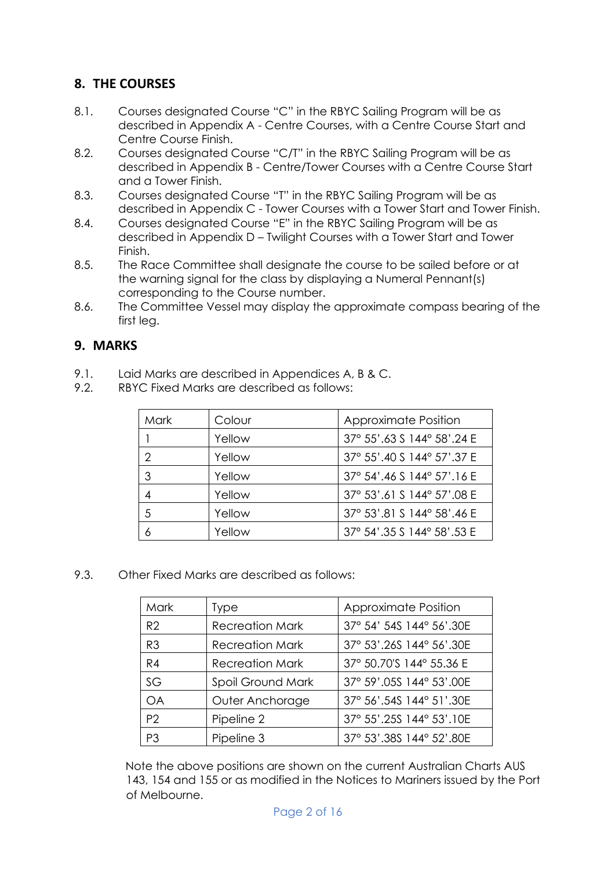#### **8. THE COURSES**

- 8.1. Courses designated Course "C" in the RBYC Sailing Program will be as described in Appendix A - Centre Courses, with a Centre Course Start and Centre Course Finish.
- 8.2. Courses designated Course "C/T" in the RBYC Sailing Program will be as described in Appendix B - Centre/Tower Courses with a Centre Course Start and a Tower Finish.
- 8.3. Courses designated Course "T" in the RBYC Sailing Program will be as described in Appendix C - Tower Courses with a Tower Start and Tower Finish.
- 8.4. Courses designated Course "E" in the RBYC Sailing Program will be as described in Appendix D – Twilight Courses with a Tower Start and Tower Finish.
- 8.5. The Race Committee shall designate the course to be sailed before or at the warning signal for the class by displaying a Numeral Pennant(s) corresponding to the Course number.
- 8.6. The Committee Vessel may display the approximate compass bearing of the first lea.

#### **9. MARKS**

- 9.1. Laid Marks are described in Appendices A, B & C.
- 9.2. RBYC Fixed Marks are described as follows:

| Mark | Colour | <b>Approximate Position</b> |
|------|--------|-----------------------------|
|      | Yellow | 37° 55'.63 \$ 144° 58'.24 E |
| 2    | Yellow | 37° 55'.40 \$ 144° 57'.37 E |
| 3    | Yellow | 37° 54'.46 \$ 144° 57'.16 E |
| 4    | Yellow | 37° 53'.61 S 144° 57'.08 E  |
| 5    | Yellow | 37° 53'.81 S 144° 58'.46 E  |
| 6    | Yellow | 37° 54'.35 \$ 144° 58'.53 E |

9.3. Other Fixed Marks are described as follows:

| Mark           | Type                   | Approximate Position      |
|----------------|------------------------|---------------------------|
| R2             | <b>Recreation Mark</b> | 37° 54' 54S 144° 56'.30E  |
| R <sub>3</sub> | <b>Recreation Mark</b> | 37° 53'.26S 144° 56'.30E  |
| R4             | <b>Recreation Mark</b> | 37° 50.70'S 144° 55.36 E  |
| SG             | Spoil Ground Mark      | 37° 59'.05S 144° 53'.00E  |
| <b>OA</b>      | Outer Anchorage        | 37° 56'.54S 144° 51'.30E  |
| P <sub>2</sub> | Pipeline 2             | 37° 55'.25\$ 144° 53'.10E |
| P3             | Pipeline 3             | 37° 53'.38S 144° 52'.80E  |

Note the above positions are shown on the current Australian Charts AUS 143, 154 and 155 or as modified in the Notices to Mariners issued by the Port of Melbourne.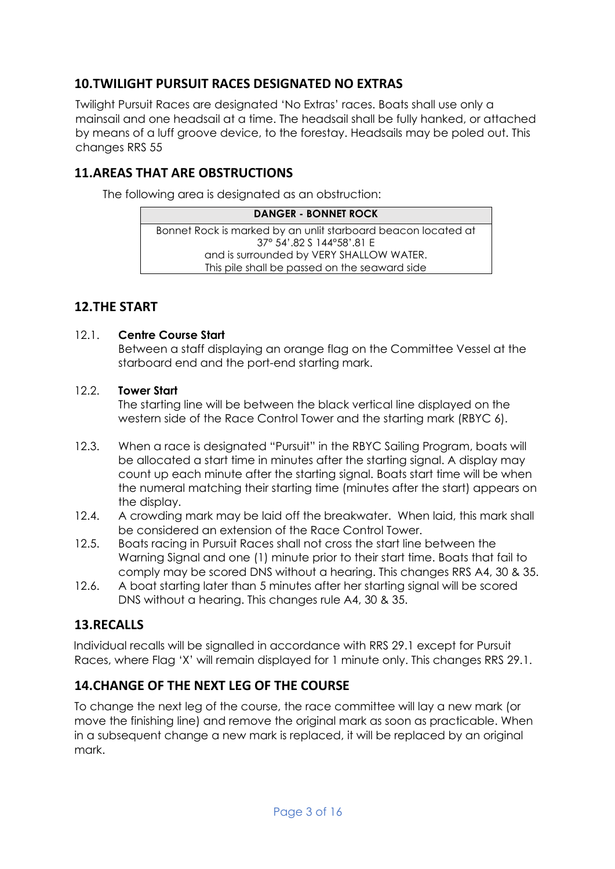#### **10.TWILIGHT PURSUIT RACES DESIGNATED NO EXTRAS**

Twilight Pursuit Races are designated 'No Extras' races. Boats shall use only a mainsail and one headsail at a time. The headsail shall be fully hanked, or attached by means of a luff groove device, to the forestay. Headsails may be poled out. This changes RRS 55

#### **11.AREAS THAT ARE OBSTRUCTIONS**

The following area is designated as an obstruction:

#### **DANGER - BONNET ROCK** Bonnet Rock is marked by an unlit starboard beacon located at 37° 54'.82 S 144°58'.81 E and is surrounded by VERY SHALLOW WATER. This pile shall be passed on the seaward side

#### **12.THE START**

#### 12.1. **Centre Course Start**

Between a staff displaying an orange flag on the Committee Vessel at the starboard end and the port-end starting mark.

#### 12.2. **Tower Start**

The starting line will be between the black vertical line displayed on the western side of the Race Control Tower and the starting mark (RBYC 6).

- 12.3. When a race is designated "Pursuit" in the RBYC Sailing Program, boats will be allocated a start time in minutes after the starting signal. A display may count up each minute after the starting signal. Boats start time will be when the numeral matching their starting time (minutes after the start) appears on the display.
- 12.4. A crowding mark may be laid off the breakwater. When laid, this mark shall be considered an extension of the Race Control Tower.
- 12.5. Boats racing in Pursuit Races shall not cross the start line between the Warning Signal and one (1) minute prior to their start time. Boats that fail to comply may be scored DNS without a hearing. This changes RRS A4, 30 & 35.
- 12.6. A boat starting later than 5 minutes after her starting signal will be scored DNS without a hearing. This changes rule A4, 30 & 35.

#### **13.RECALLS**

Individual recalls will be signalled in accordance with RRS 29.1 except for Pursuit Races, where Flag 'X' will remain displayed for 1 minute only. This changes RRS 29.1.

#### **14.CHANGE OF THE NEXT LEG OF THE COURSE**

To change the next leg of the course, the race committee will lay a new mark (or move the finishing line) and remove the original mark as soon as practicable. When in a subsequent change a new mark is replaced, it will be replaced by an original mark.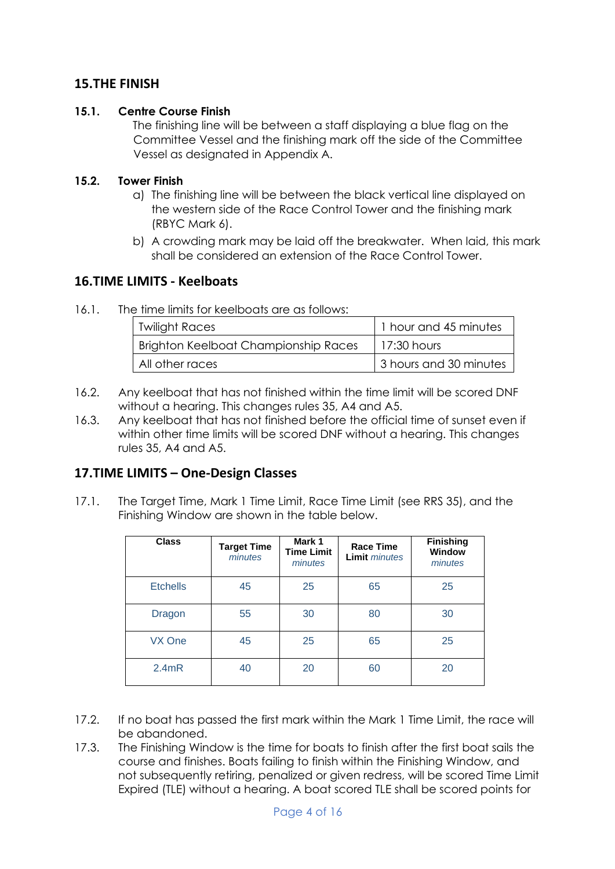#### **15.THE FINISH**

#### **15.1. Centre Course Finish**

The finishing line will be between a staff displaying a blue flag on the Committee Vessel and the finishing mark off the side of the Committee Vessel as designated in Appendix A.

#### **15.2. Tower Finish**

- a) The finishing line will be between the black vertical line displayed on the western side of the Race Control Tower and the finishing mark (RBYC Mark 6).
- b) A crowding mark may be laid off the breakwater. When laid, this mark shall be considered an extension of the Race Control Tower.

#### **16.TIME LIMITS - Keelboats**

16.1. The time limits for keelboats are as follows:

| Twilight Races                              | 1 hour and 45 minutes  |
|---------------------------------------------|------------------------|
| <b>Brighton Keelboat Championship Races</b> | $17:30$ hours          |
| All other races                             | 3 hours and 30 minutes |

- 16.2. Any keelboat that has not finished within the time limit will be scored DNF without a hearing. This changes rules 35, A4 and A5.
- 16.3. Any keelboat that has not finished before the official time of sunset even if within other time limits will be scored DNF without a hearing. This changes rules 35, A4 and A5.

#### **17.TIME LIMITS – One-Design Classes**

17.1. The Target Time, Mark 1 Time Limit, Race Time Limit (see RRS 35), and the Finishing Window are shown in the table below.

| <b>Class</b>    | <b>Target Time</b><br>minutes | Mark 1<br><b>Time Limit</b><br>minutes | Race Time<br><b>Limit</b> <i>minutes</i> | <b>Finishing</b><br>Window<br>minutes |
|-----------------|-------------------------------|----------------------------------------|------------------------------------------|---------------------------------------|
| <b>Etchells</b> | 45                            | 25                                     | 65                                       | 25                                    |
| Dragon          | 55                            | 30                                     | 80                                       | 30                                    |
| VX One          | 45                            | 25                                     | 65                                       | 25                                    |
| 2.4mR           | 40                            | 20                                     | 60                                       | 20                                    |

- 17.2. If no boat has passed the first mark within the Mark 1 Time Limit, the race will be abandoned.
- 17.3. The Finishing Window is the time for boats to finish after the first boat sails the course and finishes. Boats failing to finish within the Finishing Window, and not subsequently retiring, penalized or given redress, will be scored Time Limit Expired (TLE) without a hearing. A boat scored TLE shall be scored points for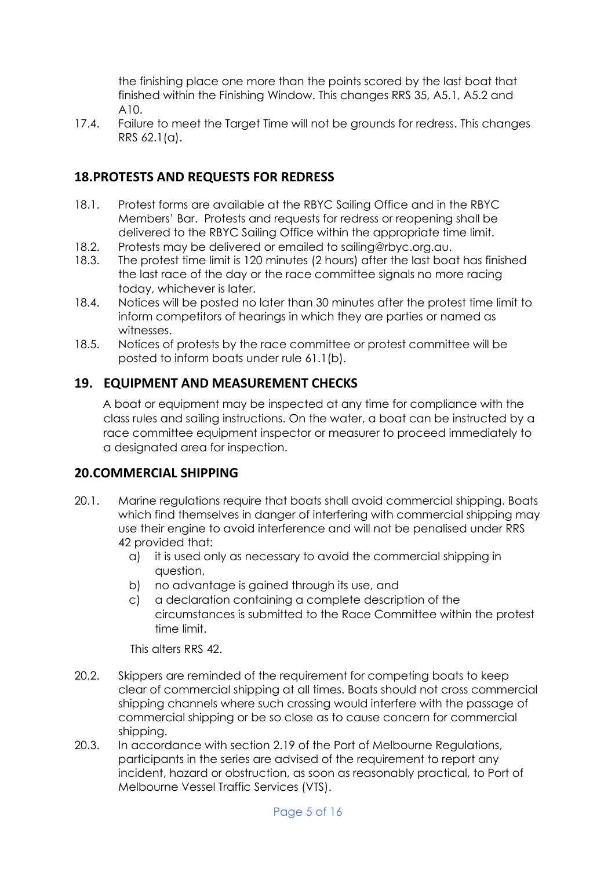the finishing place one more than the points scored by the last boat that finished within the Finishing Window. This changes RRS 35, A5.1, A5.2 and A10.

17.4. Failure to meet the Target Time will not be grounds for redress. This changes RRS 62.1(a).

#### **18.PROTESTS AND REQUESTS FOR REDRESS**

- 18.1. Protest forms are available at the RBYC Sailing Office and in the RBYC Members' Bar. Protests and requests for redress or reopening shall be delivered to the RBYC Sailing Office within the appropriate time limit.
- 18.2. Protests may be delivered or emailed to sailing@rbyc.org.au.
- 18.3. The protest time limit is 120 minutes (2 hours) after the last boat has finished the last race of the day or the race committee signals no more racing today, whichever is later.
- 18.4. Notices will be posted no later than 30 minutes after the protest time limit to inform competitors of hearings in which they are parties or named as witnesses.
- 18.5. Notices of protests by the race committee or protest committee will be posted to inform boats under rule 61.1(b).

#### **19. EQUIPMENT AND MEASUREMENT CHECKS**

A boat or equipment may be inspected at any time for compliance with the class rules and sailing instructions. On the water, a boat can be instructed by a race committee equipment inspector or measurer to proceed immediately to a designated area for inspection.

#### **20.COMMERCIAL SHIPPING**

- 20.1. Marine regulations require that boats shall avoid commercial shipping. Boats which find themselves in danger of interfering with commercial shipping may use their engine to avoid interference and will not be penalised under RRS 42 provided that:
	- a) it is used only as necessary to avoid the commercial shipping in question,
	- b) no advantage is gained through its use, and
	- c) a declaration containing a complete description of the circumstances is submitted to the Race Committee within the protest time limit.

This alters RRS 42.

- 20.2. Skippers are reminded of the requirement for competing boats to keep clear of commercial shipping at all times. Boats should not cross commercial shipping channels where such crossing would interfere with the passage of commercial shipping or be so close as to cause concern for commercial shipping.
- 20.3. In accordance with section 2.19 of the Port of Melbourne Regulations, participants in the series are advised of the requirement to report any incident, hazard or obstruction, as soon as reasonably practical, to Port of Melbourne Vessel Traffic Services (VTS).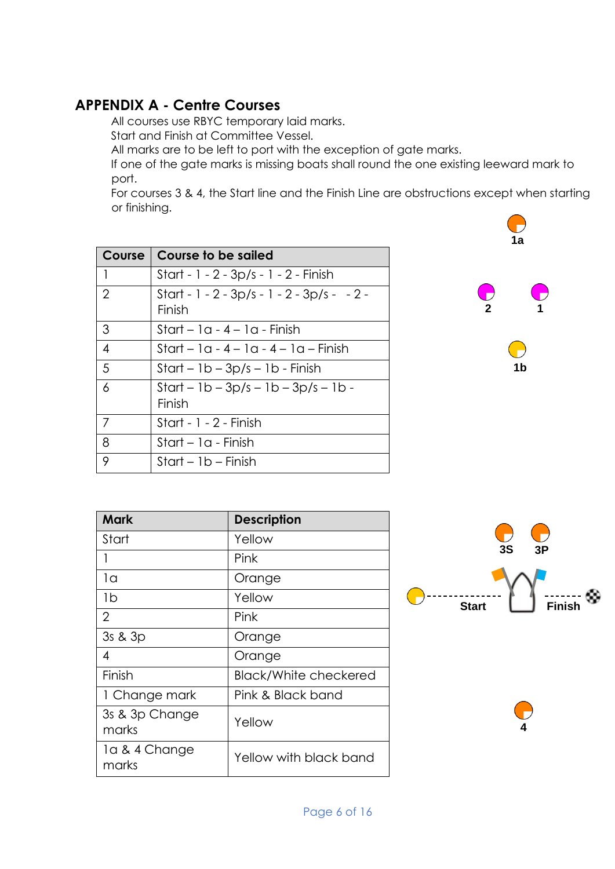## **APPENDIX A - Centre Courses**

All courses use RBYC temporary laid marks.

Start and Finish at Committee Vessel.

All marks are to be left to port with the exception of gate marks.

If one of the gate marks is missing boats shall round the one existing leeward mark to port.

For courses 3 & 4, the Start line and the Finish Line are obstructions except when starting or finishing.

| Course         | Course to be sailed                                        |
|----------------|------------------------------------------------------------|
| $\mathbf{1}$   | Start - 1 - 2 - 3p/s - 1 - 2 - Finish                      |
| $\overline{2}$ | Start - 1 - 2 - $3p/s$ - 1 - 2 - $3p/s$ - $-2$ -<br>Finish |
| 3              | Start – $1a - 4 - 1a$ - Finish                             |
| $\overline{4}$ | Start – $1a - 4 - 1a - 4 - 1a - Finish$                    |
| 5              | $Start - 1b - 3p/s - 1b - Finish$                          |
| 6              | $Start - 1b - 3p/s - 1b - 3p/s - 1b -$<br>Finish           |
| 7              | Start - 1 - 2 - Finish                                     |
| 8              | Start – 1a - Finish                                        |
| 9              | $Start - 1b - Finish$                                      |



**1b**

| Mark                    | <b>Description</b>           |
|-------------------------|------------------------------|
| Start                   | Yellow                       |
| 1                       | Pink                         |
| 1a                      | Orange                       |
| 1b                      | Yellow                       |
| $\overline{2}$          | Pink                         |
| 3s & 3p                 | Orange                       |
| 4                       | Orange                       |
| Finish                  | <b>Black/White checkered</b> |
| 1 Change mark           | Pink & Black band            |
| 3s & 3p Change<br>marks | Yellow                       |
| la & 4 Change<br>marks  | Yellow with black band       |
|                         |                              |



**4**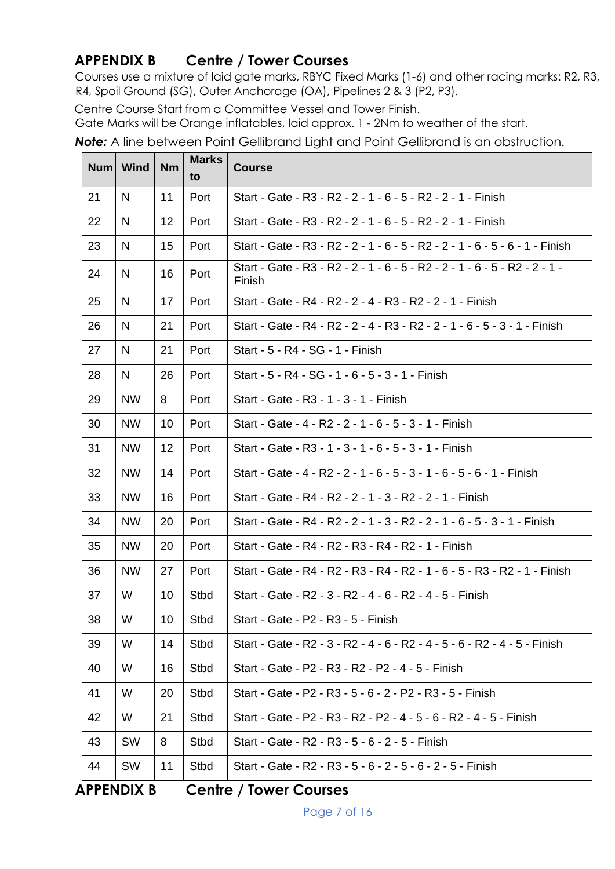## **APPENDIX B Centre / Tower Courses**

Courses use a mixture of laid gate marks, RBYC Fixed Marks (1-6) and other racing marks: R2, R3, R4, Spoil Ground (SG), Outer Anchorage (OA), Pipelines 2 & 3 (P2, P3).

Centre Course Start from a Committee Vessel and Tower Finish.

Gate Marks will be Orange inflatables, laid approx. 1 - 2Nm to weather of the start.

*Note:* A line between Point Gellibrand Light and Point Gellibrand is an obstruction.

|    | Num Wind  | <b>Nm</b> | <b>Marks</b><br>to | <b>Course</b>                                                                        |
|----|-----------|-----------|--------------------|--------------------------------------------------------------------------------------|
| 21 | N         | 11        | Port               | Start - Gate - R3 - R2 - 2 - 1 - 6 - 5 - R2 - 2 - 1 - Finish                         |
| 22 | N         | 12        | Port               | Start - Gate - R3 - R2 - 2 - 1 - 6 - 5 - R2 - 2 - 1 - Finish                         |
| 23 | N         | 15        | Port               | Start - Gate - R3 - R2 - 2 - 1 - 6 - 5 - R2 - 2 - 1 - 6 - 5 - 6 - 1 - Finish         |
| 24 | N         | 16        | Port               | Start - Gate - R3 - R2 - 2 - 1 - 6 - 5 - R2 - 2 - 1 - 6 - 5 - R2 - 2 - 1 -<br>Finish |
| 25 | N         | 17        | Port               | Start - Gate - R4 - R2 - 2 - 4 - R3 - R2 - 2 - 1 - Finish                            |
| 26 | N         | 21        | Port               | Start - Gate - R4 - R2 - 2 - 4 - R3 - R2 - 2 - 1 - 6 - 5 - 3 - 1 - Finish            |
| 27 | N         | 21        | Port               | Start - 5 - R4 - SG - 1 - Finish                                                     |
| 28 | N         | 26        | Port               | Start - 5 - R4 - SG - 1 - 6 - 5 - 3 - 1 - Finish                                     |
| 29 | <b>NW</b> | 8         | Port               | Start - Gate - R3 - 1 - 3 - 1 - Finish                                               |
| 30 | <b>NW</b> | 10        | Port               | Start - Gate - 4 - R2 - 2 - 1 - 6 - 5 - 3 - 1 - Finish                               |
| 31 | <b>NW</b> | 12        | Port               | Start - Gate - R3 - 1 - 3 - 1 - 6 - 5 - 3 - 1 - Finish                               |
| 32 | <b>NW</b> | 14        | Port               | Start - Gate - 4 - R2 - 2 - 1 - 6 - 5 - 3 - 1 - 6 - 5 - 6 - 1 - Finish               |
| 33 | <b>NW</b> | 16        | Port               | Start - Gate - R4 - R2 - 2 - 1 - 3 - R2 - 2 - 1 - Finish                             |
| 34 | <b>NW</b> | 20        | Port               | Start - Gate - R4 - R2 - 2 - 1 - 3 - R2 - 2 - 1 - 6 - 5 - 3 - 1 - Finish             |
| 35 | <b>NW</b> | 20        | Port               | Start - Gate - R4 - R2 - R3 - R4 - R2 - 1 - Finish                                   |
| 36 | <b>NW</b> | 27        | Port               | Start - Gate - R4 - R2 - R3 - R4 - R2 - 1 - 6 - 5 - R3 - R2 - 1 - Finish             |
| 37 | W         | 10        | <b>Stbd</b>        | Start - Gate - R2 - 3 - R2 - 4 - 6 - R2 - 4 - 5 - Finish                             |
| 38 | W         | 10        | Stbd               | Start - Gate - P2 - R3 - 5 - Finish                                                  |
| 39 | W         | 14        | Stbd               | Start - Gate - R2 - 3 - R2 - 4 - 6 - R2 - 4 - 5 - 6 - R2 - 4 - 5 - Finish            |
| 40 | W         | 16        | Stbd               | Start - Gate - P2 - R3 - R2 - P2 - 4 - 5 - Finish                                    |
| 41 | W         | 20        | Stbd               | Start - Gate - P2 - R3 - 5 - 6 - 2 - P2 - R3 - 5 - Finish                            |
| 42 | W         | 21        | Stbd               | Start - Gate - P2 - R3 - R2 - P2 - 4 - 5 - 6 - R2 - 4 - 5 - Finish                   |
| 43 | <b>SW</b> | 8         | <b>Stbd</b>        | Start - Gate - R2 - R3 - 5 - 6 - 2 - 5 - Finish                                      |
| 44 | <b>SW</b> | 11        | Stbd               | Start - Gate - R2 - R3 - 5 - 6 - 2 - 5 - 6 - 2 - 5 - Finish                          |

**APPENDIX B Centre / Tower Courses**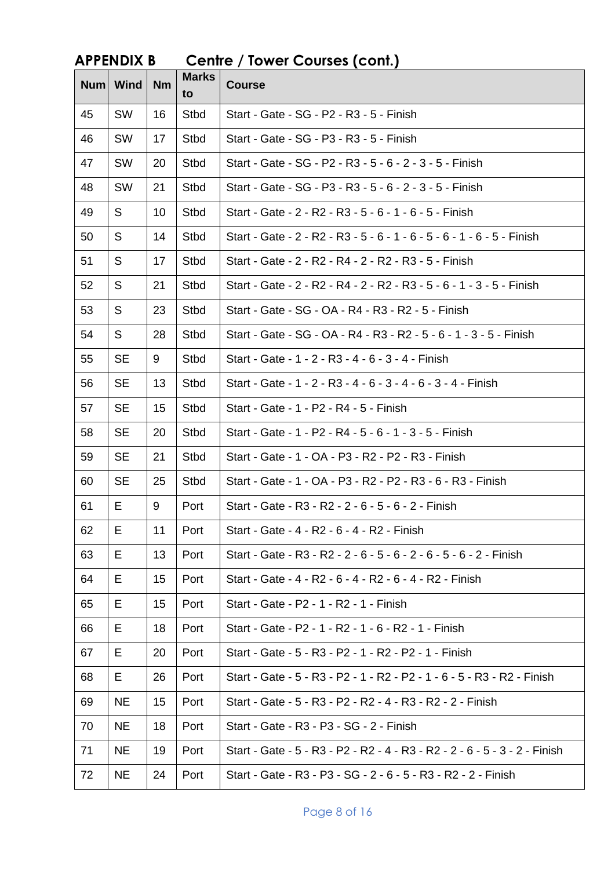|    | лі і бічріл р |                 |                    | Come / Tower Coopee (Comi)                                                 |
|----|---------------|-----------------|--------------------|----------------------------------------------------------------------------|
|    | Num Wind      | <b>Nm</b>       | <b>Marks</b><br>to | <b>Course</b>                                                              |
| 45 | <b>SW</b>     | 16              | Stbd               | Start - Gate - SG - P2 - R3 - 5 - Finish                                   |
| 46 | <b>SW</b>     | 17              | Stbd               | Start - Gate - SG - P3 - R3 - 5 - Finish                                   |
| 47 | <b>SW</b>     | 20              | Stbd               | Start - Gate - SG - P2 - R3 - 5 - 6 - 2 - 3 - 5 - Finish                   |
| 48 | SW            | 21              | Stbd               | Start - Gate - SG - P3 - R3 - 5 - 6 - 2 - 3 - 5 - Finish                   |
| 49 | S             | 10 <sup>°</sup> | Stbd               | Start - Gate - 2 - R2 - R3 - 5 - 6 - 1 - 6 - 5 - Finish                    |
| 50 | S             | 14              | Stbd               | Start - Gate - 2 - R2 - R3 - 5 - 6 - 1 - 6 - 5 - 6 - 1 - 6 - 5 - Finish    |
| 51 | S             | 17              | Stbd               | Start - Gate - 2 - R2 - R4 - 2 - R2 - R3 - 5 - Finish                      |
| 52 | S             | 21              | Stbd               | Start - Gate - 2 - R2 - R4 - 2 - R2 - R3 - 5 - 6 - 1 - 3 - 5 - Finish      |
| 53 | S             | 23              | Stbd               | Start - Gate - SG - OA - R4 - R3 - R2 - 5 - Finish                         |
| 54 | S             | 28              | Stbd               | Start - Gate - SG - OA - R4 - R3 - R2 - 5 - 6 - 1 - 3 - 5 - Finish         |
| 55 | <b>SE</b>     | 9               | Stbd               | Start - Gate - 1 - 2 - R3 - 4 - 6 - 3 - 4 - Finish                         |
| 56 | <b>SE</b>     | 13              | Stbd               | Start - Gate - 1 - 2 - R3 - 4 - 6 - 3 - 4 - 6 - 3 - 4 - Finish             |
| 57 | <b>SE</b>     | 15              | Stbd               | Start - Gate - 1 - P2 - R4 - 5 - Finish                                    |
| 58 | <b>SE</b>     | 20              | Stbd               | Start - Gate - 1 - P2 - R4 - 5 - 6 - 1 - 3 - 5 - Finish                    |
| 59 | <b>SE</b>     | 21              | Stbd               | Start - Gate - 1 - OA - P3 - R2 - P2 - R3 - Finish                         |
| 60 | <b>SE</b>     | 25              | Stbd               | Start - Gate - 1 - OA - P3 - R2 - P2 - R3 - 6 - R3 - Finish                |
| 61 | Е             | 9               | Port               | Start - Gate - R3 - R2 - 2 - 6 - 5 - 6 - 2 - Finish                        |
| 62 | E             | 11              | Port               | Start - Gate - 4 - R2 - 6 - 4 - R2 - Finish                                |
| 63 | Е             | 13              | Port               | Start - Gate - R3 - R2 - 2 - 6 - 5 - 6 - 2 - 6 - 5 - 6 - 2 - Finish        |
| 64 | Е             | 15              | Port               | Start - Gate - 4 - R2 - 6 - 4 - R2 - 6 - 4 - R2 - Finish                   |
| 65 | Е             | 15              | Port               | Start - Gate - P2 - 1 - R2 - 1 - Finish                                    |
| 66 | Е             | 18              | Port               | Start - Gate - P2 - 1 - R2 - 1 - 6 - R2 - 1 - Finish                       |
| 67 | Е             | 20              | Port               | Start - Gate - 5 - R3 - P2 - 1 - R2 - P2 - 1 - Finish                      |
| 68 | Е             | 26              | Port               | Start - Gate - 5 - R3 - P2 - 1 - R2 - P2 - 1 - 6 - 5 - R3 - R2 - Finish    |
| 69 | <b>NE</b>     | 15              | Port               | Start - Gate - 5 - R3 - P2 - R2 - 4 - R3 - R2 - 2 - Finish                 |
| 70 | <b>NE</b>     | 18              | Port               | Start - Gate - R3 - P3 - SG - 2 - Finish                                   |
| 71 | <b>NE</b>     | 19              | Port               | Start - Gate - 5 - R3 - P2 - R2 - 4 - R3 - R2 - 2 - 6 - 5 - 3 - 2 - Finish |
| 72 | <b>NE</b>     | 24              | Port               | Start - Gate - R3 - P3 - SG - 2 - 6 - 5 - R3 - R2 - 2 - Finish             |

## **APPENDIX B Centre / Tower Courses (cont.)**

Page 8 of 16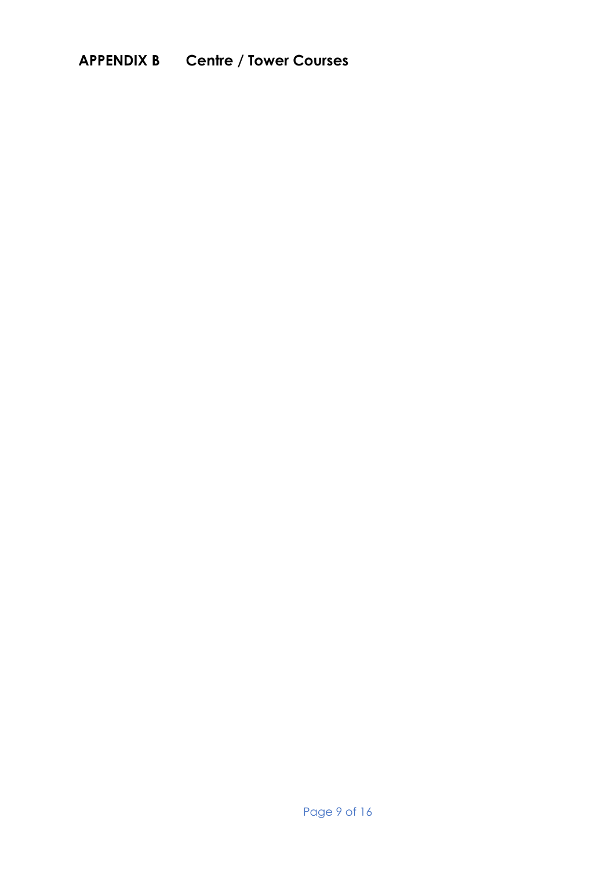## **APPENDIX B Centre / Tower Courses**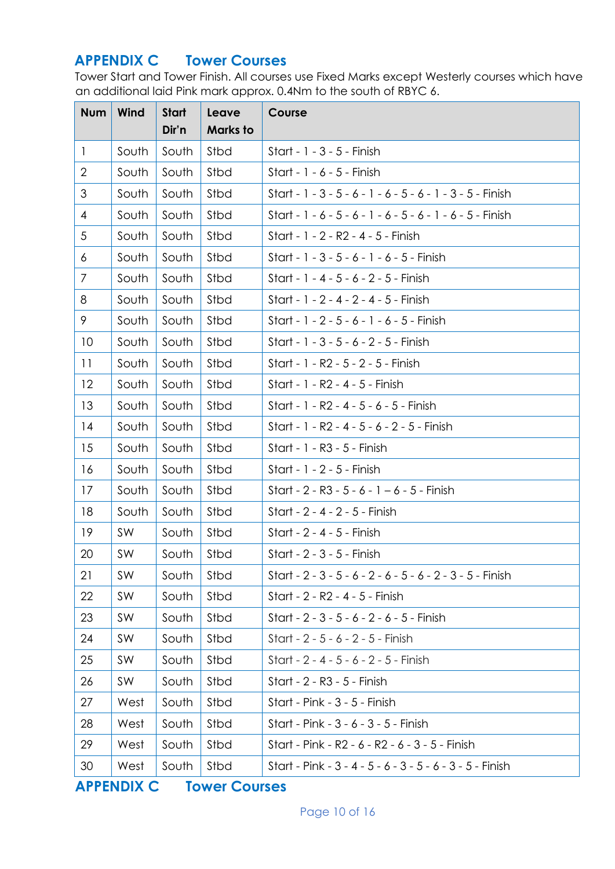## **APPENDIX C Tower Courses**

Tower Start and Tower Finish. All courses use Fixed Marks except Westerly courses which have an additional laid Pink mark approx. 0.4Nm to the south of RBYC 6.

| <b>Num</b>     | Wind      | <b>Start</b> | Leave           | Course                                                     |
|----------------|-----------|--------------|-----------------|------------------------------------------------------------|
|                |           | Dir'n        | <b>Marks</b> to |                                                            |
| $\mathbf{1}$   | South     | South        | Stbd            | Start - 1 - 3 - 5 - Finish                                 |
| $\overline{2}$ | South     | South        | Stbd            | Start - 1 - 6 - 5 - Finish                                 |
| 3              | South     | South        | Stbd            | Start - 1 - 3 - 5 - 6 - 1 - 6 - 5 - 6 - 1 - 3 - 5 - Finish |
| 4              | South     | South        | Stbd            | Start - 1 - 6 - 5 - 6 - 1 - 6 - 5 - 6 - 1 - 6 - 5 - Finish |
| 5              | South     | South        | Stbd            | Start - 1 - 2 - R2 - 4 - 5 - Finish                        |
| 6              | South     | South        | Stbd            | Start - 1 - 3 - 5 - 6 - 1 - 6 - 5 - Finish                 |
| 7              | South     | South        | Stbd            | Start - 1 - 4 - 5 - 6 - 2 - 5 - Finish                     |
| 8              | South     | South        | Stbd            | Start - 1 - 2 - 4 - 2 - 4 - 5 - Finish                     |
| 9              | South     | South        | Stbd            | Start - 1 - 2 - 5 - 6 - 1 - 6 - 5 - Finish                 |
| 10             | South     | South        | Stbd            | Start - 1 - 3 - 5 - 6 - 2 - 5 - Finish                     |
| 11             | South     | South        | Stbd            | Start - 1 - R2 - 5 - 2 - 5 - Finish                        |
| 12             | South     | South        | Stbd            | Start - 1 - R2 - 4 - 5 - Finish                            |
| 13             | South     | South        | Stbd            | Start - 1 - R2 - 4 - 5 - 6 - 5 - Finish                    |
| 14             | South     | South        | Stbd            | Start - 1 - R2 - 4 - 5 - 6 - 2 - 5 - Finish                |
| 15             | South     | South        | Stbd            | Start - 1 - R3 - 5 - Finish                                |
| 16             | South     | South        | Stbd            | Start - 1 - 2 - 5 - Finish                                 |
| 17             | South     | South        | Stbd            | Start - $2 - R3 - 5 - 6 - 1 - 6 - 5 - F$ Finish            |
| 18             | South     | South        | Stbd            | Start - 2 - 4 - 2 - 5 - Finish                             |
| 19             | <b>SW</b> | South        | Stbd            | Start - 2 - 4 - 5 - Finish                                 |
| 20             | SW        | South        | Stbd            | Start - 2 - 3 - 5 - Finish                                 |
| 21             | SW        | South        | Stbd            | Start - 2 - 3 - 5 - 6 - 2 - 6 - 5 - 6 - 2 - 3 - 5 - Finish |
| 22             | SW        | South        | Stbd            | Start - 2 - R2 - 4 - 5 - Finish                            |
| 23             | <b>SW</b> | South        | Stbd            | Start - 2 - 3 - 5 - 6 - 2 - 6 - 5 - Finish                 |
| 24             | <b>SW</b> | South        | Stbd            | Start - 2 - 5 - 6 - 2 - 5 - Finish                         |
| 25             | <b>SW</b> | South        | Stbd            | Start - 2 - 4 - 5 - 6 - 2 - 5 - Finish                     |
| 26             | <b>SW</b> | South        | Stbd            | Start - 2 - R3 - 5 - Finish                                |
| 27             | West      | South        | Stbd            | Start - Pink - 3 - 5 - Finish                              |
| 28             | West      | South        | Stbd            | Start - Pink - 3 - 6 - 3 - 5 - Finish                      |
| 29             | West      | South        | Stbd            | Start - Pink - R2 - 6 - R2 - 6 - 3 - 5 - Finish            |
| 30             | West      | South        | Stbd            | Start - Pink - 3 - 4 - 5 - 6 - 3 - 5 - 6 - 3 - 5 - Finish  |

**APPENDIX C Tower Courses**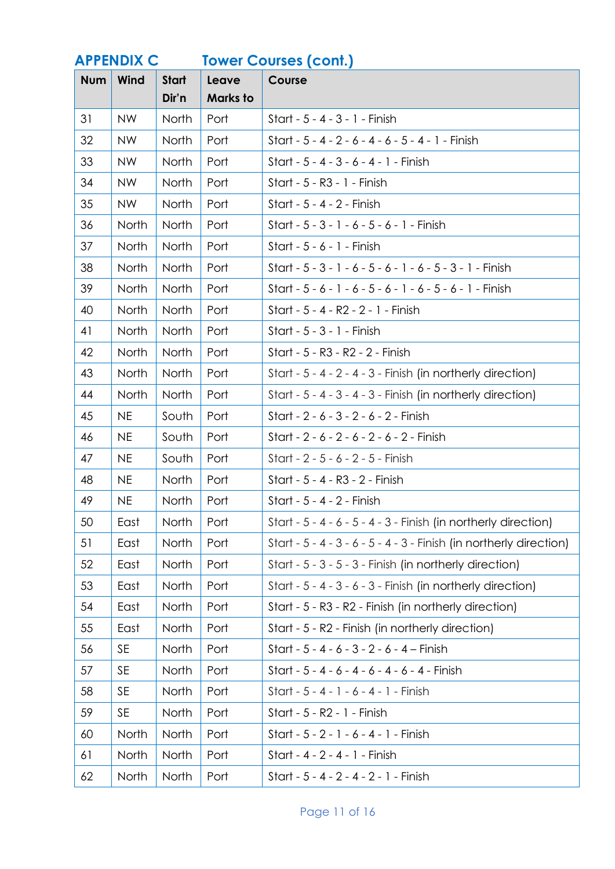| <b>APPENDIX C</b> |           | <b>Tower Courses (cont.)</b> |                          |                                                                       |
|-------------------|-----------|------------------------------|--------------------------|-----------------------------------------------------------------------|
| <b>Num</b>        | Wind      | <b>Start</b><br>Dir'n        | Leave<br><b>Marks to</b> | Course                                                                |
| 31                | <b>NW</b> | North                        | Port                     | Start - 5 - 4 - 3 - 1 - Finish                                        |
| 32                | <b>NW</b> | North                        | Port                     | Start - 5 - 4 - 2 - 6 - 4 - 6 - 5 - 4 - 1 - Finish                    |
| 33                | <b>NW</b> | North                        | Port                     | Start - 5 - 4 - 3 - 6 - 4 - 1 - Finish                                |
| 34                | <b>NW</b> | North                        | Port                     | Start - 5 - R3 - 1 - Finish                                           |
| 35                | <b>NW</b> | North                        | Port                     | Start - 5 - 4 - 2 - Finish                                            |
| 36                | North     | North                        | Port                     | Start - 5 - 3 - 1 - 6 - 5 - 6 - 1 - Finish                            |
| 37                | North     | North                        | Port                     | Start - $5 - 6 - 1$ - Finish                                          |
| 38                | North     | North                        | Port                     | Start - $5 - 3 - 1 - 6 - 5 - 6 - 1 - 6 - 5 - 3 - 1 -$ Finish          |
| 39                | North     | North                        | Port                     | Start - $5 - 6 - 1 - 6 - 5 - 6 - 1 - 6 - 5 - 6 - 1 -$ Finish          |
| 40                | North     | North                        | Port                     | Start - 5 - 4 - R2 - 2 - 1 - Finish                                   |
| 41                | North     | North                        | Port                     | Start - 5 - 3 - 1 - Finish                                            |
| 42                | North     | North                        | Port                     | Start - 5 - R3 - R2 - 2 - Finish                                      |
| 43                | North     | North                        | Port                     | Start - 5 - 4 - 2 - 4 - 3 - Finish (in northerly direction)           |
| 44                | North     | North                        | Port                     | Start - $5 - 4 - 3 - 4 - 3$ - Finish (in northerly direction)         |
| 45                | <b>NE</b> | South                        | Port                     | Start - 2 - 6 - 3 - 2 - 6 - 2 - Finish                                |
| 46                | <b>NE</b> | South                        | Port                     | Start - 2 - 6 - 2 - 6 - 2 - 6 - 2 - Finish                            |
| 47                | <b>NE</b> | South                        | Port                     | Start - 2 - 5 - 6 - 2 - 5 - Finish                                    |
| 48                | <b>NE</b> | North                        | Port                     | Start - 5 - 4 - R3 - 2 - Finish                                       |
| 49                | <b>NE</b> | North                        | Port                     | Start - 5 - 4 - 2 - Finish                                            |
| 50                | East      | North                        | Port                     | Start - $5 - 4 - 6 - 5 - 4 - 3$ - Finish (in northerly direction)     |
| 51                | East      | North                        | Port                     | Start - $5 - 4 - 3 - 6 - 5 - 4 - 3$ - Finish (in northerly direction) |
| 52                | East      | North                        | Port                     | Start - 5 - 3 - 5 - 3 - Finish (in northerly direction)               |
| 53                | East      | North                        | Port                     | Start - $5 - 4 - 3 - 6 - 3$ - Finish (in northerly direction)         |
| 54                | East      | North                        | Port                     | Start - 5 - R3 - R2 - Finish (in northerly direction)                 |
| 55                | East      | North                        | Port                     | Start - 5 - R2 - Finish (in northerly direction)                      |
| 56                | <b>SE</b> | North                        | Port                     | Start - 5 - 4 - 6 - 3 - 2 - 6 - 4 - Finish                            |
| 57                | <b>SE</b> | North                        | Port                     | Start - 5 - 4 - 6 - 4 - 6 - 4 - 6 - 4 - Finish                        |
| 58                | <b>SE</b> | North                        | Port                     | Start $-5 - 4 - 1 - 6 - 4 - 1 -$ Finish                               |
| 59                | <b>SE</b> | North                        | Port                     | Start - 5 - R2 - 1 - Finish                                           |
| 60                | North     | North                        | Port                     | Start - 5 - 2 - 1 - 6 - 4 - 1 - Finish                                |
| 61                | North     | North                        | Port                     | Start - 4 - 2 - 4 - 1 - Finish                                        |
| 62                | North     | North                        | Port                     | Start - 5 - 4 - 2 - 4 - 2 - 1 - Finish                                |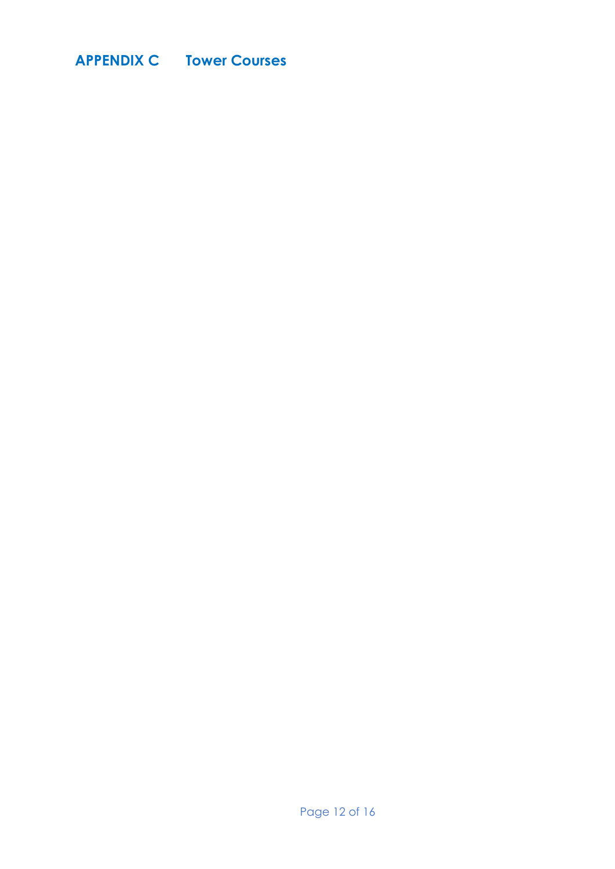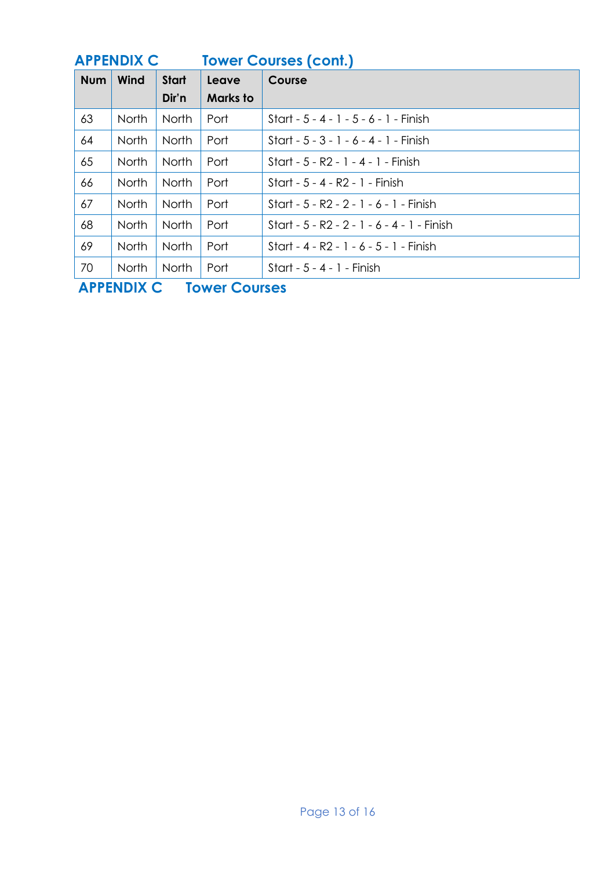|            | <b>APPENDIX C</b> |              |                 | <b>Tower Courses (cont.)</b>                |
|------------|-------------------|--------------|-----------------|---------------------------------------------|
| <b>Num</b> | Wind              | <b>Start</b> | Leave           | Course                                      |
|            |                   | Dir'n        | <b>Marks</b> to |                                             |
| 63         | <b>North</b>      | North        | Port            | Start - $5 - 4 - 1 - 5 - 6 - 1 -$ Finish    |
| 64         | North             | North        | Port            | Start - $5 - 3 - 1 - 6 - 4 - 1$ - Finish    |
| 65         | <b>North</b>      | North        | Port            | Start - 5 - R2 - 1 - 4 - 1 - Finish         |
| 66         | North             | North        | Port            | Start - 5 - 4 - R2 - 1 - Finish             |
| 67         | <b>North</b>      | North        | Port            | Start - 5 - R2 - 2 - 1 - 6 - 1 - Finish     |
| 68         | North             | North        | Port            | Start - 5 - R2 - 2 - 1 - 6 - 4 - 1 - Finish |
| 69         | North             | North        | Port            | Start - 4 - R2 - 1 - 6 - 5 - 1 - Finish     |
| 70         | <b>North</b>      | North        | Port            | Start - $5 - 4 - 1 -$ Finish                |

**APPENDIX C Tower Courses**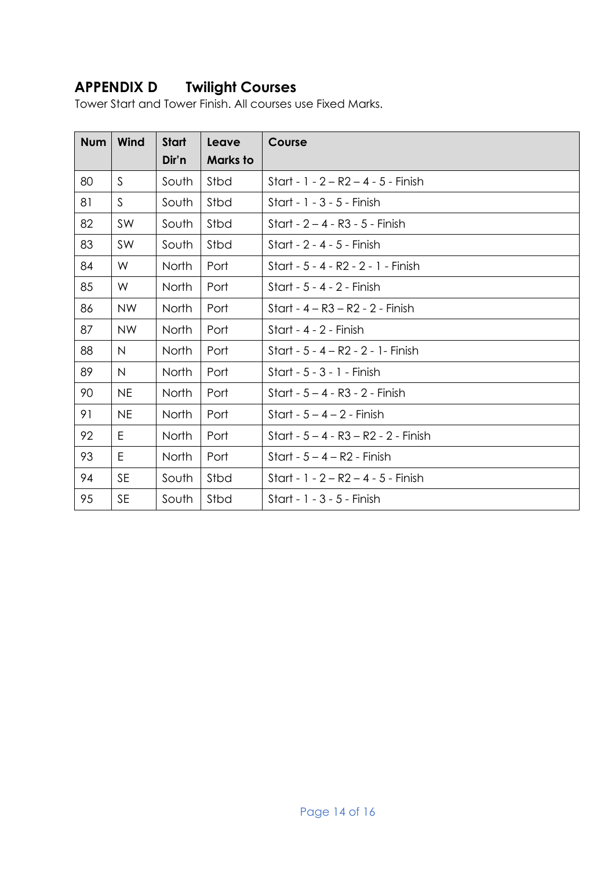## **APPENDIX D Twilight Courses**

Tower Start and Tower Finish. All courses use Fixed Marks.

| <b>Num</b> | Wind         | <b>Start</b><br>Dir'n | Leave<br>Marks to | Course                                  |
|------------|--------------|-----------------------|-------------------|-----------------------------------------|
| 80         | $\mathsf{S}$ | South                 | Stbd              | Start - $1 - 2 - R2 - 4 - 5$ - Finish   |
| 81         | $\mathsf{S}$ | South                 | Stbd              | Start - 1 - 3 - 5 - Finish              |
| 82         | SW           | South                 | Stbd              | Start - $2 - 4 - R3 - 5$ - Finish       |
| 83         | SW           | South                 | Stbd              | Start - 2 - 4 - 5 - Finish              |
| 84         | W            | <b>North</b>          | Port              | Start - 5 - 4 - R2 - 2 - 1 - Finish     |
| 85         | W            | <b>North</b>          | Port              | Start - 5 - 4 - 2 - Finish              |
| 86         | <b>NW</b>    | <b>North</b>          | Port              | Start - 4 – R3 – R2 - 2 - Finish        |
| 87         | <b>NW</b>    | North                 | Port              | Start - 4 - 2 - Finish                  |
| 88         | N            | <b>North</b>          | Port              | Start - 5 - 4 – R2 - 2 - 1 - Finish     |
| 89         | $\mathsf{N}$ | North                 | Port              | Start - 5 - 3 - 1 - Finish              |
| 90         | <b>NE</b>    | North                 | Port              | Start - $5 - 4 - R3 - 2$ - Finish       |
| 91         | <b>NE</b>    | North                 | Port              | Start - $5 - 4 - 2$ - Finish            |
| 92         | E            | North                 | Port              | Start - $5 - 4 - R3 - R2 - 2$ - Finish  |
| 93         | E            | <b>North</b>          | Port              | Start - $5 - 4 - R2$ - Finish           |
| 94         | <b>SE</b>    | South                 | Stbd              | Start - $1 - 2 - R2 - 4 - 5 - F$ in ish |
| 95         | <b>SE</b>    | South                 | Stbd              | Start - 1 - 3 - 5 - Finish              |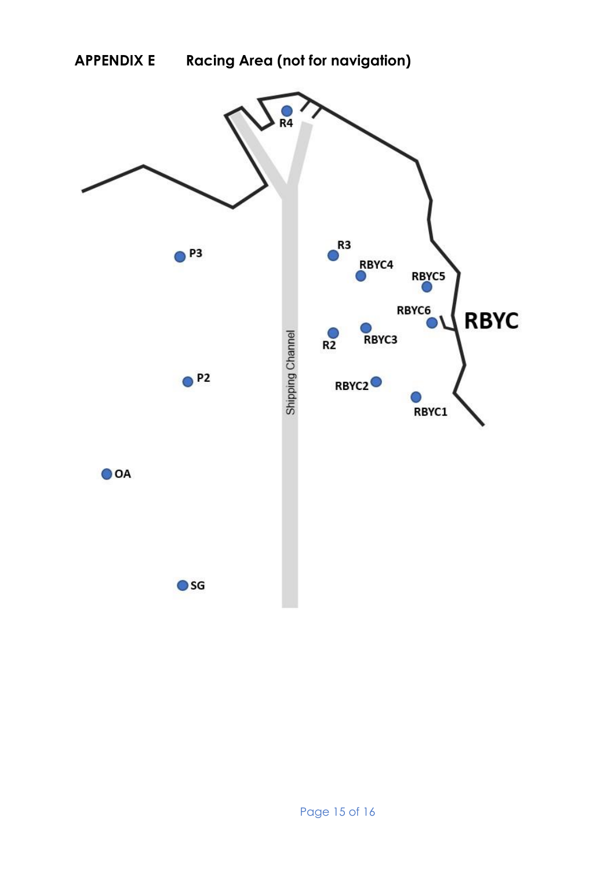